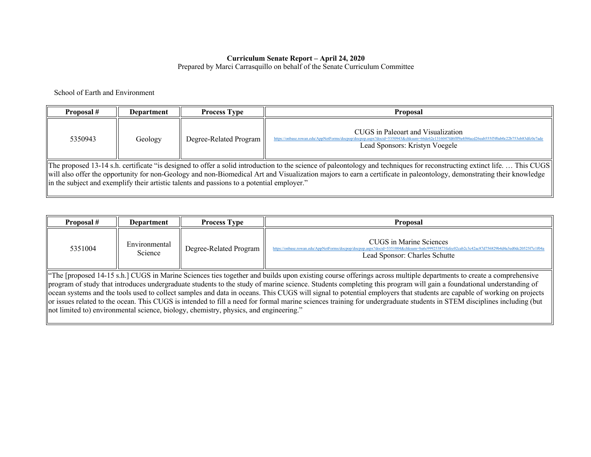#### **Curriculum Senate Report – April 24, 2020**

Prepared by Marci Carrasquillo on behalf of the Senate Curriculum Committee

School of Earth and Environment

| Proposal #                                                                                                                                                                                                                                                                                                                                                                                                                                   | Department | <b>Process Type</b>    | <b>Proposal</b>                                                                                                                                                                                                       |  |
|----------------------------------------------------------------------------------------------------------------------------------------------------------------------------------------------------------------------------------------------------------------------------------------------------------------------------------------------------------------------------------------------------------------------------------------------|------------|------------------------|-----------------------------------------------------------------------------------------------------------------------------------------------------------------------------------------------------------------------|--|
| 5350943                                                                                                                                                                                                                                                                                                                                                                                                                                      | Geology    | Degree-Related Program | CUGS in Paleoart and Visualization<br>https://onbase.rowan.edu/AppNetForms/docpop/docpop.aspx?docid=5350943&chksum=66de62e1316047fd6fff9a4f44acd26eab555f5f0ab0c22b753eb83dfc0e7ade<br>Lead Sponsors: Kristyn Voegele |  |
| The proposed 13-14 s.h. certificate "is designed to offer a solid introduction to the science of paleontology and techniques for reconstructing extinct life This CUGS<br>will also offer the opportunity for non-Geology and non-Biomedical Art and Visualization majors to earn a certificate in paleontology, demonstrating their knowledge<br>in the subject and exemplify their artistic talents and passions to a potential employer." |            |                        |                                                                                                                                                                                                                       |  |

| Proposal #                                                                                                                                                                                                                                                                                                                                                                                                                                                                                                                                                                                                                                                                                                                                                                         | <b>Department</b>        | <b>Process Type</b>    | <b>Proposal</b>                                                                                                 |
|------------------------------------------------------------------------------------------------------------------------------------------------------------------------------------------------------------------------------------------------------------------------------------------------------------------------------------------------------------------------------------------------------------------------------------------------------------------------------------------------------------------------------------------------------------------------------------------------------------------------------------------------------------------------------------------------------------------------------------------------------------------------------------|--------------------------|------------------------|-----------------------------------------------------------------------------------------------------------------|
| 5351004                                                                                                                                                                                                                                                                                                                                                                                                                                                                                                                                                                                                                                                                                                                                                                            | Environmental<br>Science | Degree-Related Program | CUGS in Marine Sciences<br>https://onbase.rowan.edu/AppNetForms/docpop/docpop.<br>Lead Sponsor: Charles Schutte |
| "The [proposed 14-15 s.h.] CUGS in Marine Sciences ties together and builds upon existing course offerings across multiple departments to create a comprehensive<br>program of study that introduces undergraduate students to the study of marine science. Students completing this program will gain a foundational understanding of<br>ocean systems and the tools used to collect samples and data in oceans. This CUGS will signal to potential employers that students are capable of working on projects<br>or issues related to the ocean. This CUGS is intended to fill a need for formal marine sciences training for undergraduate students in STEM disciplines including (but<br>not limited to) environmental science, biology, chemistry, physics, and engineering." |                          |                        |                                                                                                                 |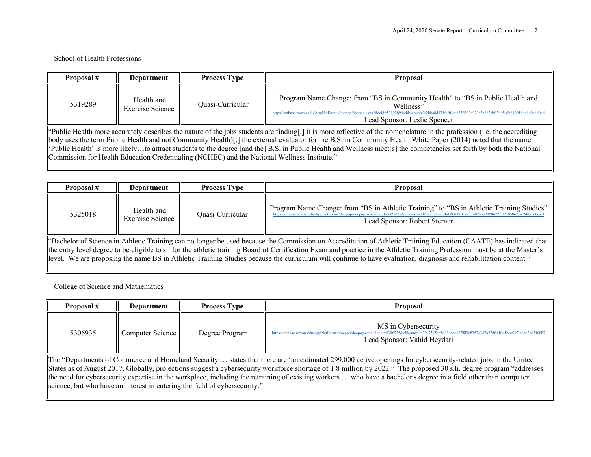### School of Health Professions

| Proposal #                                                                                                                                                                                                                                                                                                                                                                                                                                                                                                                                                                                                       | <b>Department</b>              | <b>Process Type</b> | <b>Proposal</b>                                                                                                                                                                                                                                                                |
|------------------------------------------------------------------------------------------------------------------------------------------------------------------------------------------------------------------------------------------------------------------------------------------------------------------------------------------------------------------------------------------------------------------------------------------------------------------------------------------------------------------------------------------------------------------------------------------------------------------|--------------------------------|---------------------|--------------------------------------------------------------------------------------------------------------------------------------------------------------------------------------------------------------------------------------------------------------------------------|
| 5319289                                                                                                                                                                                                                                                                                                                                                                                                                                                                                                                                                                                                          | Health and<br>Exercise Science | Quasi-Curricular    | Program Name Change: from "BS in Community Health" to "BS in Public Health and<br>Wellness"<br>ebba8d831fcf03eaa356560a021e5a8d3eb939a5c6b849918ad840edd0e<br>https://onbase.rowan.edu/AppNetForms/docpop/docpop.aspx?docid=5319289&chksum=cc3<br>Lead Sponsor: Leslie Spencer |
| "Public Health more accurately describes the nature of the jobs students are finding[;] it is more reflective of the nomenclature in the profession (i.e. the accrediting<br>body uses the term Public Health and not Community Health)[;] the external evaluator for the B.S. in Community Health White Paper (2014) noted that the name<br>'Public Health' is more likelyto attract students to the degree [and the] B.S. in Public Health and Wellness meet[s] the competencies set forth by both the National<br>Commission for Health Education Credentialing (NCHEC) and the National Wellness Institute." |                                |                     |                                                                                                                                                                                                                                                                                |

| Proposal #                                                                                                                                                                                                                                                                                                                                                                                                                                                                                                            | Department                     | <b>Process Type</b> | Proposal                                                                                                                                                                                                                                                                 |
|-----------------------------------------------------------------------------------------------------------------------------------------------------------------------------------------------------------------------------------------------------------------------------------------------------------------------------------------------------------------------------------------------------------------------------------------------------------------------------------------------------------------------|--------------------------------|---------------------|--------------------------------------------------------------------------------------------------------------------------------------------------------------------------------------------------------------------------------------------------------------------------|
| 5325018                                                                                                                                                                                                                                                                                                                                                                                                                                                                                                               | Health and<br>Exercise Science | Ouasi-Curricular    | Program Name Change: from "BS in Athletic Training" to "BS in Athletic Training Studies"<br>https://onbase.rowan.edu/AppNetForms/docpop/docpop.aspx?docid=5325018&chksum=8d1e9e701a9f3b4a93b0c3e9a73402a5b2000672fcf2105867fac24d76c0cae<br>Lead Sponsor: Robert Sterner |
| "Bachelor of Science in Athletic Training can no longer be used because the Commission on Accreditation of Athletic Training Education (CAATE) has indicated that<br>the entry level degree to be eligible to sit for the athletic training Board of Certification Exam and practice in the Athletic Training Profession must be at the Master's<br>llevel. We are proposing the name BS in Athletic Training Studies because the curriculum will continue to have evaluation, diagnosis and rehabilitation content." |                                |                     |                                                                                                                                                                                                                                                                          |

College of Science and Mathematics

| Proposal #                                                                                                                                                          | Department       | <b>Process Type</b> | <b>Proposal</b>                                                                                                                                                                                    |  |
|---------------------------------------------------------------------------------------------------------------------------------------------------------------------|------------------|---------------------|----------------------------------------------------------------------------------------------------------------------------------------------------------------------------------------------------|--|
| 5306935                                                                                                                                                             | Computer Science | Degree Program      | MS in Cybersecurity<br>https://onbase.rowan.edu/AppNetForms/docpop/docpop.aspx?docid=5306935&chksum=b639a7545ae5d02b6be837fd3c8352e347a27d6410a1bec53f9b4ba3b45f60l<br>Lead Sponsor: Vahid Heydari |  |
| The "Departments of Commerce and Homeland Security  states that there are 'an estimated 299,000 active openings for cybersecurity-related jobs in the United        |                  |                     |                                                                                                                                                                                                    |  |
| States as of August 2017. Globally, projections suggest a cybersecurity workforce shortage of 1.8 million by 2022." The proposed 30 s.h. degree program "addresses" |                  |                     |                                                                                                                                                                                                    |  |
| the need for cybersecurity expertise in the workplace, including the retraining of existing workers  who have a bachelor's degree in a field other than computer    |                  |                     |                                                                                                                                                                                                    |  |
| science, but who have an interest in entering the field of cybersecurity."                                                                                          |                  |                     |                                                                                                                                                                                                    |  |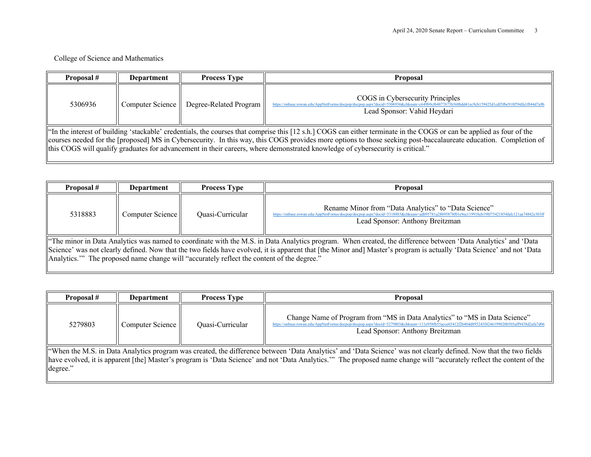## College of Science and Mathematics

| Proposal #                                                                                                                                                                                                                                                                                                                                                                                                                                                                  | Department | <b>Process Type</b>                        | <b>Proposal</b>                                                                                                                                                       |  |
|-----------------------------------------------------------------------------------------------------------------------------------------------------------------------------------------------------------------------------------------------------------------------------------------------------------------------------------------------------------------------------------------------------------------------------------------------------------------------------|------------|--------------------------------------------|-----------------------------------------------------------------------------------------------------------------------------------------------------------------------|--|
| 5306936                                                                                                                                                                                                                                                                                                                                                                                                                                                                     |            | Computer Science    Degree-Related Program | COGS in Cybersecurity Principles<br>https://onbase.rowan.edu/AppNetForms/docpop/docpop.aspx?docid=5306936&chksum=c649b9cf64877675b368h<br>Lead Sponsor: Vahid Heydari |  |
| "In the interest of building 'stackable' credentials, the courses that comprise this [12 s.h.] COGS can either terminate in the COGS or can be applied as four of the<br>courses needed for the [proposed] MS in Cybersecurity. In this way, this COGS provides more options to those seeking post-baccalaureate education. Completion of<br>this COGS will qualify graduates for advancement in their careers, where demonstrated knowledge of cybersecurity is critical." |            |                                            |                                                                                                                                                                       |  |

| Proposal #                                                                                                                                                                                                                                                                                                                                                                                                                          | Department       | <b>Process Type</b> | Proposal                                                                                                                                                                                                                                 |
|-------------------------------------------------------------------------------------------------------------------------------------------------------------------------------------------------------------------------------------------------------------------------------------------------------------------------------------------------------------------------------------------------------------------------------------|------------------|---------------------|------------------------------------------------------------------------------------------------------------------------------------------------------------------------------------------------------------------------------------------|
| 5318883                                                                                                                                                                                                                                                                                                                                                                                                                             | Computer Science | Quasi-Curricular    | Rename Minor from "Data Analytics" to "Data Science"<br>https://onbase.rowan.edu/AppNetForms/docpop/docpop.aspx?docid=5318883&chksum=adb95781a28b95878f01e9ee119918eb198f75421854fafc121aa74842e303ff<br>Lead Sponsor: Anthony Breitzman |
| "The minor in Data Analytics was named to coordinate with the M.S. in Data Analytics program. When created, the difference between 'Data Analytics' and 'Data<br>Science' was not clearly defined. Now that the two fields have evolved, it is apparent that [the Minor and] Master's program is actually 'Data Science' and not 'Data<br>Analytics." The proposed name change will "accurately reflect the content of the degree." |                  |                     |                                                                                                                                                                                                                                          |

| Proposal #                                                                                                                                                                                                                                                                                                                                             | Department       | <b>Process Type</b> | Proposal                                                                                                                                                                                                                                                       |  |
|--------------------------------------------------------------------------------------------------------------------------------------------------------------------------------------------------------------------------------------------------------------------------------------------------------------------------------------------------------|------------------|---------------------|----------------------------------------------------------------------------------------------------------------------------------------------------------------------------------------------------------------------------------------------------------------|--|
| 5279803                                                                                                                                                                                                                                                                                                                                                | Computer Science | Quasi-Curricular    | Change Name of Program from "MS in Data Analytics" to "MS in Data Science"<br>https://onbase.rowan.edu/AppNetForms/docpop/docpop.aspx?docid=5279803&chksum=111e958fb55acce65412f2b404d895243f4246199020b505aff9438d2afa7d06<br>Lead Sponsor: Anthony Breitzman |  |
| "When the M.S. in Data Analytics program was created, the difference between 'Data Analytics' and 'Data Science' was not clearly defined. Now that the two fields<br>have evolved, it is apparent [the] Master's program is 'Data Science' and not 'Data Analytics.'" The proposed name change will "accurately reflect the content of the<br>degree." |                  |                     |                                                                                                                                                                                                                                                                |  |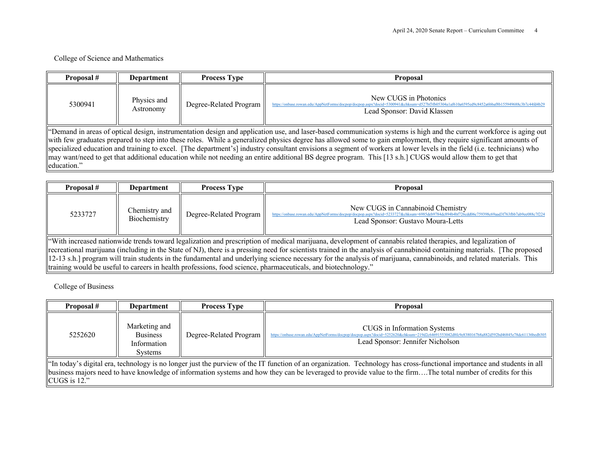# College of Science and Mathematics

| Proposal #                                                                                                                                                                                                                                                                                                                                                                                                                                                                                                                                                                                                                                                                                      | Department               | <b>Process Type</b>    | <b>Proposal</b>                                                                                                       |
|-------------------------------------------------------------------------------------------------------------------------------------------------------------------------------------------------------------------------------------------------------------------------------------------------------------------------------------------------------------------------------------------------------------------------------------------------------------------------------------------------------------------------------------------------------------------------------------------------------------------------------------------------------------------------------------------------|--------------------------|------------------------|-----------------------------------------------------------------------------------------------------------------------|
| 5300941                                                                                                                                                                                                                                                                                                                                                                                                                                                                                                                                                                                                                                                                                         | Physics and<br>Astronomy | Degree-Related Program | New CUGS in Photonics<br>https://onbase.rowan.edu/AppNetForms/docpop/docpop.aspx?docid<br>Lead Sponsor: David Klassen |
| "Demand in areas of optical design, instrumentation design and application use, and laser-based communication systems is high and the current workforce is aging out<br>with few graduates prepared to step into these roles. While a generalized physics degree has allowed some to gain employment, they require significant amounts of<br>specialized education and training to excel. [The department's] industry consultant envisions a segment of workers at lower levels in the field (i.e. technicians) who<br>may want/need to get that additional education while not needing an entire additional BS degree program. This [13 s.h.] CUGS would allow them to get that<br>education." |                          |                        |                                                                                                                       |

| Proposal #                                                                                                                                                                                                                                                                                                                               | Department                    | <b>Process Type</b>    | <b>Proposal</b>                                                                                                                                                                                                         |  |
|------------------------------------------------------------------------------------------------------------------------------------------------------------------------------------------------------------------------------------------------------------------------------------------------------------------------------------------|-------------------------------|------------------------|-------------------------------------------------------------------------------------------------------------------------------------------------------------------------------------------------------------------------|--|
| 5233727                                                                                                                                                                                                                                                                                                                                  | Chemistry and<br>Biochemistry | Degree-Related Program | New CUGS in Cannabinoid Chemistry<br>https://onbase.rowan.edu/AppNetForms/docpop/docpop.aspx?docid=5233727&chksum=6985deb9784dc894b4bf726cdd06c759398c69aad3f763fbb7ab9ee088c7f224<br>Lead Sponsor: Gustavo Moura-Letts |  |
| "With increased nationwide trends toward legalization and prescription of medical marijuana, development of cannabis related therapies, and legalization of<br>recreational marijuana (including in the State of NJ), there is a pressing need for scientists trained in the analysis of cannabinoid containing materials. [The proposed |                               |                        |                                                                                                                                                                                                                         |  |
| 12-13 s.h.] program will train students in the fundamental and underlying science necessary for the analysis of marijuana, cannabinoids, and related materials. This<br>training would be useful to careers in health professions, food science, pharmaceuticals, and biotechnology."                                                    |                               |                        |                                                                                                                                                                                                                         |  |

College of Business

| Proposal #                                                                                                                                                                                                                                                                                                                                                | Department                                                        | <b>Process Type</b>    | <b>Proposal</b>                                                                                                                                                                                                  |  |
|-----------------------------------------------------------------------------------------------------------------------------------------------------------------------------------------------------------------------------------------------------------------------------------------------------------------------------------------------------------|-------------------------------------------------------------------|------------------------|------------------------------------------------------------------------------------------------------------------------------------------------------------------------------------------------------------------|--|
| 5252620                                                                                                                                                                                                                                                                                                                                                   | Marketing and<br><b>Business</b><br>Information<br><b>Systems</b> | Degree-Related Program | CUGS in Information Systems<br>https://onbase.rowan.edu/AppNetForms/docpop/docpop.aspx?docid=5252620&chksum=219d2c64691553042d8fc9e8380167b8a882d592bd46845e78dc61136bedb305<br>Lead Sponsor: Jennifer Nicholson |  |
| "In today's digital era, technology is no longer just the purview of the IT function of an organization. Technology has cross-functional importance and students in all<br>business majors need to have knowledge of information systems and how they can be leveraged to provide value to the firmThe total number of credits for this<br>CUGS is $12."$ |                                                                   |                        |                                                                                                                                                                                                                  |  |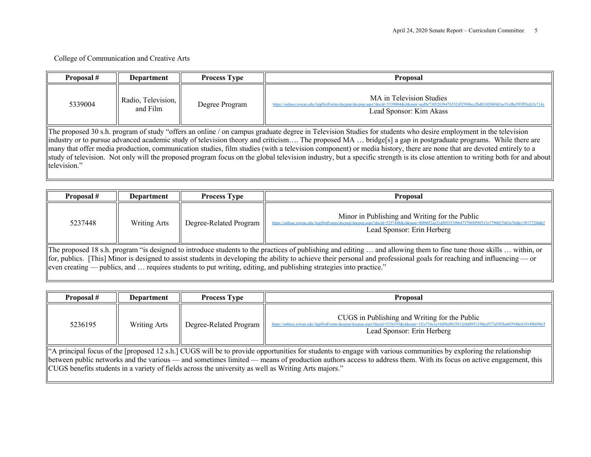## College of Communication and Creative Arts

| Proposal #   | Department                                                                                                                                                                                                                                                                                                                                                                                                                                                                                                                                                                                                                                                                             | <b>Process Type</b> | <b>Proposal</b>                                                                                                                                                                                      |
|--------------|----------------------------------------------------------------------------------------------------------------------------------------------------------------------------------------------------------------------------------------------------------------------------------------------------------------------------------------------------------------------------------------------------------------------------------------------------------------------------------------------------------------------------------------------------------------------------------------------------------------------------------------------------------------------------------------|---------------------|------------------------------------------------------------------------------------------------------------------------------------------------------------------------------------------------------|
| 5339004      | Radio, Television,   <br>and Film                                                                                                                                                                                                                                                                                                                                                                                                                                                                                                                                                                                                                                                      | Degree Program      | MA in Television Studies<br>https://onbase.rowan.edu/AppNetForms/docpop/docpop.aspx?docid=5339004&chksum=aed9e7305263b47653245f396bcc2bd01f45869d1ac91efbe593f95efe5c714c<br>Lead Sponsor: Kim Akass |
| television." | The proposed 30 s.h. program of study "offers an online / on campus graduate degree in Television Studies for students who desire employment in the television<br>lindustry or to pursue advanced academic study of television theory and criticism The proposed MA  bridge[s] a gap in postgraduate programs. While there are<br>many that offer media production, communication studies, film studies (with a television component) or media history, there are none that are devoted entirely to a<br>study of television. Not only will the proposed program focus on the global television industry, but a specific strength is its close attention to writing both for and about |                     |                                                                                                                                                                                                      |

| Proposal #                                                                                                                                                                                                                                                                                                                                                                                                                                                               | Department          | <b>Process Type</b>    | <b>Proposal</b>                                                                                                                                                              |
|--------------------------------------------------------------------------------------------------------------------------------------------------------------------------------------------------------------------------------------------------------------------------------------------------------------------------------------------------------------------------------------------------------------------------------------------------------------------------|---------------------|------------------------|------------------------------------------------------------------------------------------------------------------------------------------------------------------------------|
| 5237448                                                                                                                                                                                                                                                                                                                                                                                                                                                                  | <b>Writing Arts</b> | Degree-Related Program | Minor in Publishing and Writing for the Public<br>https://onbase.rowan.edu/AppNetForms/docpop/docpop.aspx?docid=5237448&chksum=f080052ae21d503<br>Lead Sponsor: Erin Herberg |
| The proposed 18 s.h. program "is designed to introduce students to the practices of publishing and editing  and allowing them to fine tune those skills  within, or<br>$\ $ for, publics. [This] Minor is designed to assist students in developing the ability to achieve their personal and professional goals for reaching and influencing — or<br>even creating — publics, and  requires students to put writing, editing, and publishing strategies into practice." |                     |                        |                                                                                                                                                                              |

| Proposal #                                                                                                                                                                                                                                                                                                                                                                                                                                  | <b>Department</b>   | <b>Process Type</b>    | <b>Proposal</b>                                                                                                                                                                                                              |
|---------------------------------------------------------------------------------------------------------------------------------------------------------------------------------------------------------------------------------------------------------------------------------------------------------------------------------------------------------------------------------------------------------------------------------------------|---------------------|------------------------|------------------------------------------------------------------------------------------------------------------------------------------------------------------------------------------------------------------------------|
| 5236195                                                                                                                                                                                                                                                                                                                                                                                                                                     | <b>Writing Arts</b> | Degree-Related Program | CUGS in Publishing and Writing for the Public<br>https://onbase.rowan.edu/AppNetForms/docpop/docpop.aspx?docid=5236195&chksum=1f1a716e1e160f4a9815812e8d8951190eef573d385ba043940e418148b698c5<br>Lead Sponsor: Erin Herberg |
| "A principal focus of the [proposed 12 s.h.] CUGS will be to provide opportunities for students to engage with various communities by exploring the relationship<br>between public networks and the various — and sometimes limited — means of production authors access to address them. With its focus on active engagement, this<br>CUGS benefits students in a variety of fields across the university as well as Writing Arts majors." |                     |                        |                                                                                                                                                                                                                              |